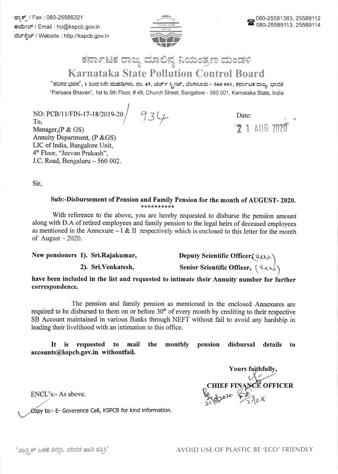.ಫ್ಯಾಕ್ಸ್ / Fax : 080-25586321 ಈಮೇಲ್ / Email : ho@kspcb.gov.in ವೆಬ್ ಸ್ಪೆಟ್ / Website : http://kspcb.gov.in



## ಕರ್ನಾಟಕ ರಾಜ್ಯ ಮಾಲಿನ್ಯ ನಿಯಂತ್ರಣ ಮಂಡಳಿ **Karnataka State Pollution Control Board**

"ಪರಿಸರ ಭವನ", 1 ರಿಂದ 5ನೇ ಮಹಡಿಗಳು, ನಂ. 49, ಚರ್ಚ್ ಸ್ಫೀಟ್, ಬೆಂಗಳೂರು - 560 001, ಕರ್ನಾಟಕ ರಾಜ್ಯ, ಭಾರತ "Parisara Bhavan", 1st to 5th Floor, #49, Church Street, Bangalore - 560 001, Karnataka State, India

NO: PCB/11/FIN-17-18/2019-20 934 To. Manager,  $(P & GS)$ Annuity Department, (P & GS) LIC of India, Bangalore Unit, 4<sup>th</sup> Floor, "Jeevan Prakash", J.C. Road, Bengaluru - 560 002.

Date:  $21$  AUG 2020

Sir.

## Sub:-Disbursement of Pension and Family Pension for the month of AUGUST-2020. \*\*\*\*\*\*\*\*\*\*

With reference to the above, you are hereby requested to disburse the pension amount along with D.A of retired employees and family pension to the legal heirs of deceased employees as mentioned in the Annexure -  $I \& II$  respectively which is enclosed to this letter for the month of August  $-2020$ .

New pensioners 1). Sri.Rajakumar,

2). Sri. Venkatesh.

Deputy Scientific Officer (Reta.)

Senior Scientific Officer, [Retald]

have been included in the list and requested to intimate their Annuity number for further correspondence.

The pension and family pension as mentioned in the enclosed Annexures are required to be disbursed to them on or before  $30<sup>th</sup>$  of every month by crediting to their respective SB Account maintained in various Banks through NEFT without fail to avoid any hardship in leading their livelihood with an intimation to this office.

requested mail the monthly pension disbursal **It** is to details to accounts@kspcb.gov.in withoutfail.

Yours faithfully,<br>CHIEF FINANCE OFFICER

ENCL's:- As above.

Copy to:- E- Goverence Cell, KSPCB for kind information.